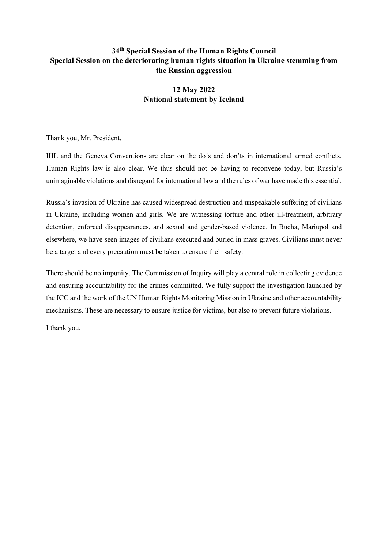## **34th Special Session of the Human Rights Council Special Session on the deteriorating human rights situation in Ukraine stemming from the Russian aggression**

# **12 May 2022 National statement by Iceland**

Thank you, Mr. President.

IHL and the Geneva Conventions are clear on the do´s and don'ts in international armed conflicts. Human Rights law is also clear. We thus should not be having to reconvene today, but Russia's unimaginable violations and disregard for international law and the rules of war have made this essential.

Russia´s invasion of Ukraine has caused widespread destruction and unspeakable suffering of civilians in Ukraine, including women and girls. We are witnessing torture and other ill-treatment, arbitrary detention, enforced disappearances, and sexual and gender-based violence. In Bucha, Mariupol and elsewhere, we have seen images of civilians executed and buried in mass graves. Civilians must never be a target and every precaution must be taken to ensure their safety.

There should be no impunity. The Commission of Inquiry will play a central role in collecting evidence and ensuring accountability for the crimes committed. We fully support the investigation launched by the ICC and the work of the UN Human Rights Monitoring Mission in Ukraine and other accountability mechanisms. These are necessary to ensure justice for victims, but also to prevent future violations.

I thank you.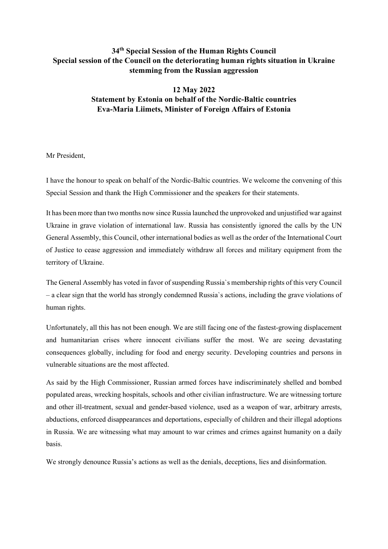## **34th Special Session of the Human Rights Council Special session of the Council on the deteriorating human rights situation in Ukraine stemming from the Russian aggression**

# **12 May 2022 Statement by Estonia on behalf of the Nordic-Baltic countries Eva-Maria Liimets, Minister of Foreign Affairs of Estonia**

Mr President,

I have the honour to speak on behalf of the Nordic-Baltic countries. We welcome the convening of this Special Session and thank the High Commissioner and the speakers for their statements.

It has been more than two months now since Russia launched the unprovoked and unjustified war against Ukraine in grave violation of international law. Russia has consistently ignored the calls by the UN General Assembly, this Council, other international bodies as well as the order of the International Court of Justice to cease aggression and immediately withdraw all forces and military equipment from the territory of Ukraine.

The General Assembly has voted in favor of suspending Russia`s membership rights of this very Council – a clear sign that the world has strongly condemned Russia`s actions, including the grave violations of human rights.

Unfortunately, all this has not been enough. We are still facing one of the fastest-growing displacement and humanitarian crises where innocent civilians suffer the most. We are seeing devastating consequences globally, including for food and energy security. Developing countries and persons in vulnerable situations are the most affected.

As said by the High Commissioner, Russian armed forces have indiscriminately shelled and bombed populated areas, wrecking hospitals, schools and other civilian infrastructure. We are witnessing torture and other ill-treatment, sexual and gender-based violence, used as a weapon of war, arbitrary arrests, abductions, enforced disappearances and deportations, especially of children and their illegal adoptions in Russia. We are witnessing what may amount to war crimes and crimes against humanity on a daily basis.

We strongly denounce Russia's actions as well as the denials, deceptions, lies and disinformation.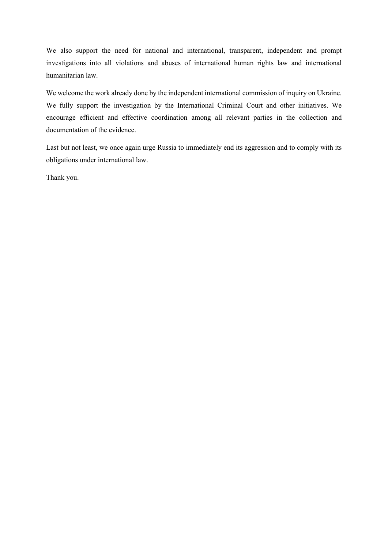We also support the need for national and international, transparent, independent and prompt investigations into all violations and abuses of international human rights law and international humanitarian law.

We welcome the work already done by the independent international commission of inquiry on Ukraine. We fully support the investigation by the International Criminal Court and other initiatives. We encourage efficient and effective coordination among all relevant parties in the collection and documentation of the evidence.

Last but not least, we once again urge Russia to immediately end its aggression and to comply with its obligations under international law.

Thank you.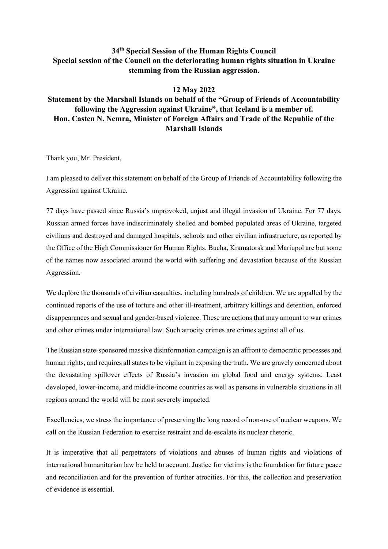### **34th Special Session of the Human Rights Council Special session of the Council on the deteriorating human rights situation in Ukraine stemming from the Russian aggression.**

#### **12 May 2022**

# **Statement by the Marshall Islands on behalf of the "Group of Friends of Accountability following the Aggression against Ukraine", that Iceland is a member of. Hon. Casten N. Nemra, Minister of Foreign Affairs and Trade of the Republic of the Marshall Islands**

Thank you, Mr. President,

I am pleased to deliver this statement on behalf of the Group of Friends of Accountability following the Aggression against Ukraine.

77 days have passed since Russia's unprovoked, unjust and illegal invasion of Ukraine. For 77 days, Russian armed forces have indiscriminately shelled and bombed populated areas of Ukraine, targeted civilians and destroyed and damaged hospitals, schools and other civilian infrastructure, as reported by the Office of the High Commissioner for Human Rights. Bucha, Kramatorsk and Mariupol are but some of the names now associated around the world with suffering and devastation because of the Russian Aggression.

We deplore the thousands of civilian casualties, including hundreds of children. We are appalled by the continued reports of the use of torture and other ill-treatment, arbitrary killings and detention, enforced disappearances and sexual and gender-based violence. These are actions that may amount to war crimes and other crimes under international law. Such atrocity crimes are crimes against all of us.

The Russian state-sponsored massive disinformation campaign is an affront to democratic processes and human rights, and requires all states to be vigilant in exposing the truth. We are gravely concerned about the devastating spillover effects of Russia's invasion on global food and energy systems. Least developed, lower-income, and middle-income countries as well as persons in vulnerable situations in all regions around the world will be most severely impacted.

Excellencies, we stress the importance of preserving the long record of non-use of nuclear weapons. We call on the Russian Federation to exercise restraint and de-escalate its nuclear rhetoric.

It is imperative that all perpetrators of violations and abuses of human rights and violations of international humanitarian law be held to account. Justice for victims is the foundation for future peace and reconciliation and for the prevention of further atrocities. For this, the collection and preservation of evidence is essential.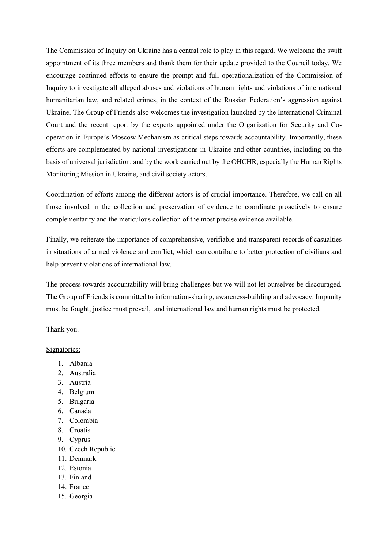The Commission of Inquiry on Ukraine has a central role to play in this regard. We welcome the swift appointment of its three members and thank them for their update provided to the Council today. We encourage continued efforts to ensure the prompt and full operationalization of the Commission of Inquiry to investigate all alleged abuses and violations of human rights and violations of international humanitarian law, and related crimes, in the context of the Russian Federation's aggression against Ukraine. The Group of Friends also welcomes the investigation launched by the International Criminal Court and the recent report by the experts appointed under the Organization for Security and Cooperation in Europe's Moscow Mechanism as critical steps towards accountability. Importantly, these efforts are complemented by national investigations in Ukraine and other countries, including on the basis of universal jurisdiction, and by the work carried out by the OHCHR, especially the Human Rights Monitoring Mission in Ukraine, and civil society actors.

Coordination of efforts among the different actors is of crucial importance. Therefore, we call on all those involved in the collection and preservation of evidence to coordinate proactively to ensure complementarity and the meticulous collection of the most precise evidence available.

Finally, we reiterate the importance of comprehensive, verifiable and transparent records of casualties in situations of armed violence and conflict, which can contribute to better protection of civilians and help prevent violations of international law.

The process towards accountability will bring challenges but we will not let ourselves be discouraged. The Group of Friends is committed to information-sharing, awareness-building and advocacy. Impunity must be fought, justice must prevail, and international law and human rights must be protected.

Thank you.

#### Signatories:

- 1. Albania
- 2. Australia
- 3. Austria
- 4. Belgium
- 5. Bulgaria
- 6. Canada
- 7. Colombia
- 8. Croatia
- 9. Cyprus
- 10. Czech Republic
- 11. Denmark
- 12. Estonia
- 13. Finland
- 14. France
- 15. Georgia